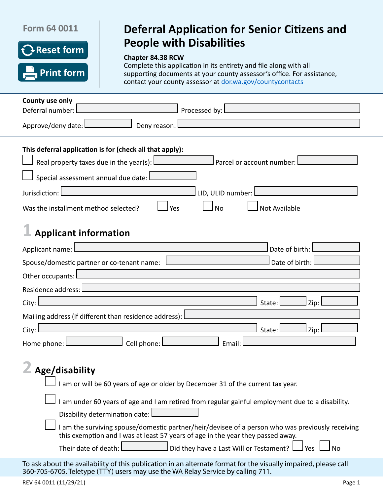# **Form 64 0011**



# **Deferral Application for Senior Citizens and People with Disabilities**

## **Chapter 84.38 RCW**

Complete this application in its entirety and file along with all supporting documents at your county assessor's office. For assistance, contact your county assessor at [dor.wa.gov/countycontacts](http://dor.wa.gov/countycontacts)

| County use only                                                                                                                                                                                                                                       |
|-------------------------------------------------------------------------------------------------------------------------------------------------------------------------------------------------------------------------------------------------------|
| Processed by: l<br>Deferral number:                                                                                                                                                                                                                   |
| Approve/deny date: L<br>Deny reason:                                                                                                                                                                                                                  |
| This deferral application is for (check all that apply):<br>Real property taxes due in the year(s): $\lfloor$<br>Parcel or account number:                                                                                                            |
|                                                                                                                                                                                                                                                       |
| Special assessment annual due date:                                                                                                                                                                                                                   |
| LID, ULID number:<br>Jurisdiction:                                                                                                                                                                                                                    |
| <b>No</b><br>Was the installment method selected?<br><b>Not Available</b><br>Yes                                                                                                                                                                      |
| <b>Applicant information</b>                                                                                                                                                                                                                          |
| Date of birth:<br>Applicant name:                                                                                                                                                                                                                     |
| Date of birth:<br>Spouse/domestic partner or co-tenant name:                                                                                                                                                                                          |
| Other occupants:                                                                                                                                                                                                                                      |
| Residence address:                                                                                                                                                                                                                                    |
| City:<br>Zip:<br>State:                                                                                                                                                                                                                               |
| Mailing address (if different than residence address):                                                                                                                                                                                                |
| State:<br>City:<br>Zip:                                                                                                                                                                                                                               |
| Cell phone: L<br>Home phone: I<br>Email:                                                                                                                                                                                                              |
| Age/disability                                                                                                                                                                                                                                        |
| I am or will be 60 years of age or older by December 31 of the current tax year.                                                                                                                                                                      |
| I am under 60 years of age and I am retired from regular gainful employment due to a disability.                                                                                                                                                      |
| Disability determination date:                                                                                                                                                                                                                        |
| I am the surviving spouse/domestic partner/heir/devisee of a person who was previously receiving<br>this exemption and I was at least 57 years of age in the year they passed away.<br>$\,$ Did they have a Last Will or Testament? $\,$ $\,$<br>J No |
| Their date of death:<br>Yes L                                                                                                                                                                                                                         |
| To ask about the availability of this publication in an alternate format for the visually impaired, please call<br>360-705-6705. Teletype (TTY) users may use the WA Relay Service by calling 711.                                                    |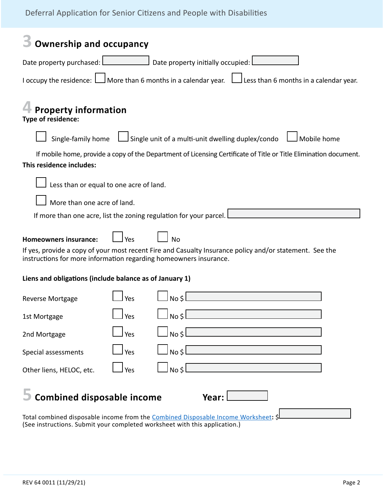| <b>Ownership and occupancy</b>                                                                                                                                               |     |                                                   |                                                                                                                     |  |  |
|------------------------------------------------------------------------------------------------------------------------------------------------------------------------------|-----|---------------------------------------------------|---------------------------------------------------------------------------------------------------------------------|--|--|
| Date property purchased: L                                                                                                                                                   |     | Date property initially occupied:                 |                                                                                                                     |  |  |
|                                                                                                                                                                              |     |                                                   | I occupy the residence: $\Box$ More than 6 months in a calendar year. $\Box$ Less than 6 months in a calendar year. |  |  |
| <b>Property information</b><br>Type of residence:                                                                                                                            |     |                                                   |                                                                                                                     |  |  |
| Single-family home                                                                                                                                                           |     | Single unit of a multi-unit dwelling duplex/condo | Mobile home                                                                                                         |  |  |
|                                                                                                                                                                              |     |                                                   | If mobile home, provide a copy of the Department of Licensing Certificate of Title or Title Elimination document.   |  |  |
| This residence includes:                                                                                                                                                     |     |                                                   |                                                                                                                     |  |  |
| Less than or equal to one acre of land.                                                                                                                                      |     |                                                   |                                                                                                                     |  |  |
|                                                                                                                                                                              |     |                                                   |                                                                                                                     |  |  |
| More than one acre of land.                                                                                                                                                  |     |                                                   |                                                                                                                     |  |  |
| If more than one acre, list the zoning regulation for your parcel.                                                                                                           |     |                                                   |                                                                                                                     |  |  |
| <b>Homeowners insurance:</b>                                                                                                                                                 | Yes | <b>No</b>                                         |                                                                                                                     |  |  |
| If yes, provide a copy of your most recent Fire and Casualty Insurance policy and/or statement. See the<br>instructions for more information regarding homeowners insurance. |     |                                                   |                                                                                                                     |  |  |
| Liens and obligations (include balance as of January 1)                                                                                                                      |     |                                                   |                                                                                                                     |  |  |
| <b>Reverse Mortgage</b>                                                                                                                                                      | Yes | No \$                                             |                                                                                                                     |  |  |
| 1st Mortgage                                                                                                                                                                 | Yes | No \$l                                            | <u> 1980 - Johann Barn, amerikan bestemannten (</u>                                                                 |  |  |
| 2nd Mortgage                                                                                                                                                                 | Yes | $No \, \zeta$                                     |                                                                                                                     |  |  |
| Special assessments                                                                                                                                                          | Yes |                                                   | $\overline{N}$                                                                                                      |  |  |
| Other liens, HELOC, etc.                                                                                                                                                     | Yes | $No \, \$C$                                       |                                                                                                                     |  |  |
| <b>Combined disposable income</b><br>Year:<br>Total combined disposable income from the Combined Disposable Income Worksheet: \$                                             |     |                                                   |                                                                                                                     |  |  |
| (See instructions. Submit your completed worksheet with this application.)                                                                                                   |     |                                                   |                                                                                                                     |  |  |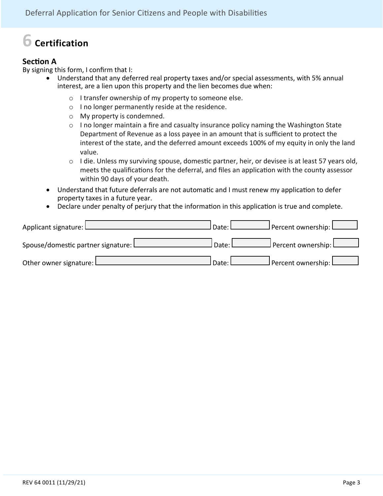# **6 Certification**

# **Section A**

By signing this form, I confirm that I:

- Understand that any deferred real property taxes and/or special assessments, with 5% annual interest, are a lien upon this property and the lien becomes due when:
	- o I transfer ownership of my property to someone else.
	- o I no longer permanently reside at the residence.
	- o My property is condemned.
	- $\circ$  I no longer maintain a fire and casualty insurance policy naming the Washington State Department of Revenue as a loss payee in an amount that is sufficient to protect the interest of the state, and the deferred amount exceeds 100% of my equity in only the land value.
	- o I die. Unless my surviving spouse, domestic partner, heir, or devisee is at least 57 years old, meets the qualifications for the deferral, and files an application with the county assessor within 90 days of your death.
- Understand that future deferrals are not automatic and I must renew my application to defer property taxes in a future year.
- Declare under penalty of perjury that the information in this application is true and complete.

| Applicant signature: L               | l Date: L        | J Percent ownership: L               |
|--------------------------------------|------------------|--------------------------------------|
| Spouse/domestic partner signature: L | Date: L          | $\perp$ Percent ownership: $\lfloor$ |
| Other owner signature: L             | <b>I</b> Date: L | $J$ Percent ownership: $L$           |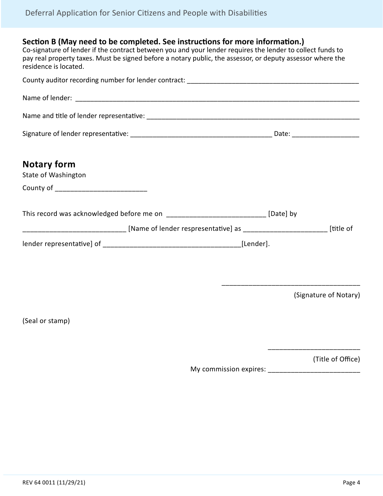## **Section B (May need to be completed. See instructions for more information.)**

Co-signature of lender if the contract between you and your lender requires the lender to collect funds to pay real property taxes. Must be signed before a notary public, the assessor, or deputy assessor where the residence is located.

| <b>Notary form</b><br>State of Washington                                                  |                       |
|--------------------------------------------------------------------------------------------|-----------------------|
| County of _______________________________                                                  |                       |
| This record was acknowledged before me on ________________________________ [Date] by       |                       |
| [title of [Name of lender respresentative] as __________________________________ [title of |                       |
|                                                                                            |                       |
|                                                                                            |                       |
|                                                                                            | (Signature of Notary) |
| (Seal or stamp)                                                                            |                       |

(Title of Office)

\_\_\_\_\_\_\_\_\_\_\_\_\_\_\_\_\_\_\_\_\_\_\_\_

My commission expires: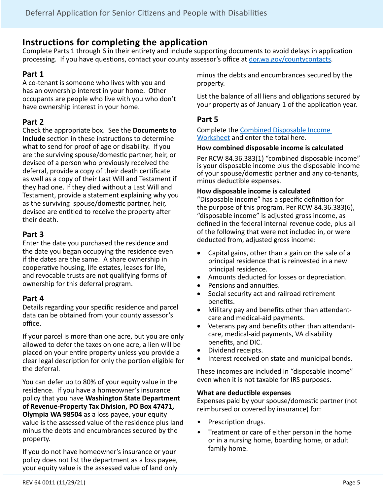# **Instructions for completing the application**

Complete Parts 1 through 6 in their entirety and include supporting documents to avoid delays in application processing. If you have questions, contact your county assessor's office at [dor.wa.gov/countycontacts](http://dor.wa.gov/countycontacts).

# **Part 1**

A co-tenant is someone who lives with you and has an ownership interest in your home. Other occupants are people who live with you who don't have ownership interest in your home.

# **Part 2**

Check the appropriate box. See the **Documents to Include** section in these instructions to determine what to send for proof of age or disability. If you are the surviving spouse/domestic partner, heir, or devisee of a person who previously received the deferral, provide a copy of their death certificate as well as a copy of their Last Will and Testament if they had one. If they died without a Last Will and Testament, provide a statement explaining why you as the surviving spouse/domestic partner, heir, devisee are entitled to receive the property after their death.

# **Part 3**

Enter the date you purchased the residence and the date you began occupying the residence even if the dates are the same. A share ownership in cooperative housing, life estates, leases for life, and revocable trusts are not qualifying forms of ownership for this deferral program.

## **Part 4**

Details regarding your specific residence and parcel data can be obtained from your county assessor's office.

If your parcel is more than one acre, but you are only allowed to defer the taxes on one acre, a lien will be placed on your entire property unless you provide a clear legal description for only the portion eligible for the deferral.

You can defer up to 80% of your equity value in the residence. If you have a homeowner's insurance policy that you have **Washington State Department of Revenue-Property Tax Division, PO Box 47471, Olympia WA 98504** as a loss payee, your equity value is the assessed value of the residence plus land minus the debts and encumbrances secured by the property.

If you do not have homeowner's insurance or your policy does not list the department as a loss payee, your equity value is the assessed value of land only minus the debts and encumbrances secured by the property.

List the balance of all liens and obligations secured by your property as of January 1 of the application year.

# **Part 5**

Complete the [Combined Disposable Income](http://dor.wa.gov/sites/default/files/legacy/Docs/forms/PropTx/Forms/63-0036.pdf)  [Worksheet](http://dor.wa.gov/sites/default/files/legacy/Docs/forms/PropTx/Forms/63-0036.pdf) and enter the total here.

## **How combined disposable income is calculated**

Per RCW 84.36.383(1) "combined disposable income" is your disposable income plus the disposable income of your spouse/domestic partner and any co-tenants, minus deductible expenses.

### **How disposable income is calculated**

"Disposable income" has a specific definition for the purpose of this program. Per RCW 84.36.383(6), "disposable income" is adjusted gross income, as defined in the federal internal revenue code, plus all of the following that were not included in, or were deducted from, adjusted gross income:

- Capital gains, other than a gain on the sale of a principal residence that is reinvested in a new principal residence.
- Amounts deducted for losses or depreciation.
- Pensions and annuities.
- • Social security act and railroad retirement benefits.
- Military pay and benefits other than attendantcare and medical-aid payments.
- Veterans pay and benefits other than attendantcare, medical-aid payments, VA disability benefits, and DIC.
- Dividend receipts.
- Interest received on state and municipal bonds.

These incomes are included in "disposable income" even when it is not taxable for IRS purposes.

## **What are deductible expenses**

Expenses paid by your spouse/domestic partner (not reimbursed or covered by insurance) for:

- Prescription drugs.
- Treatment or care of either person in the home or in a nursing home, boarding home, or adult family home.